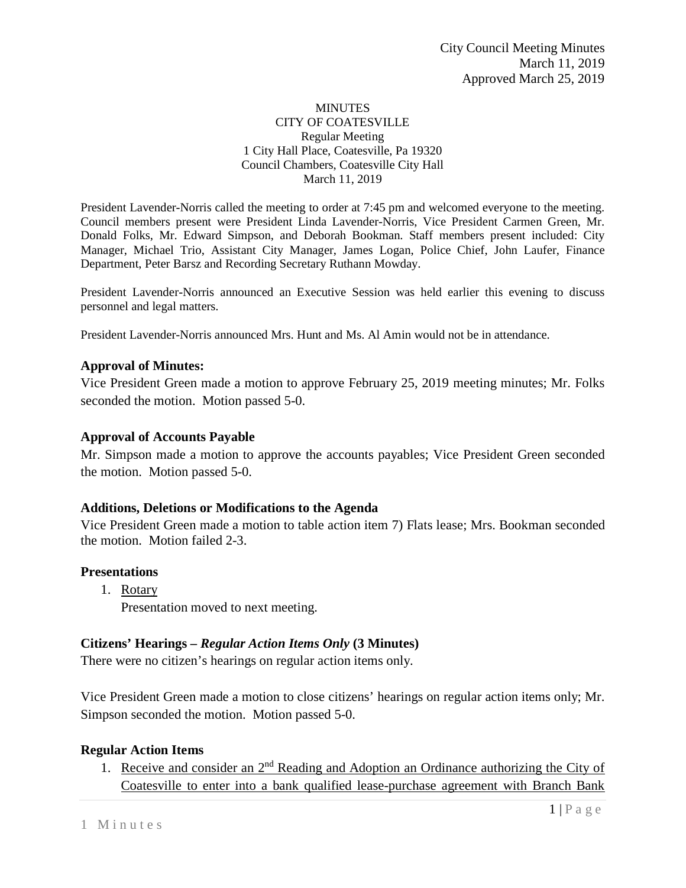#### MINUTES CITY OF COATESVILLE Regular Meeting 1 City Hall Place, Coatesville, Pa 19320 Council Chambers, Coatesville City Hall March 11, 2019

President Lavender-Norris called the meeting to order at 7:45 pm and welcomed everyone to the meeting. Council members present were President Linda Lavender-Norris, Vice President Carmen Green, Mr. Donald Folks, Mr. Edward Simpson, and Deborah Bookman. Staff members present included: City Manager, Michael Trio, Assistant City Manager, James Logan, Police Chief, John Laufer, Finance Department, Peter Barsz and Recording Secretary Ruthann Mowday.

President Lavender-Norris announced an Executive Session was held earlier this evening to discuss personnel and legal matters.

President Lavender-Norris announced Mrs. Hunt and Ms. Al Amin would not be in attendance.

### **Approval of Minutes:**

Vice President Green made a motion to approve February 25, 2019 meeting minutes; Mr. Folks seconded the motion. Motion passed 5-0.

### **Approval of Accounts Payable**

Mr. Simpson made a motion to approve the accounts payables; Vice President Green seconded the motion. Motion passed 5-0.

### **Additions, Deletions or Modifications to the Agenda**

Vice President Green made a motion to table action item 7) Flats lease; Mrs. Bookman seconded the motion. Motion failed 2-3.

### **Presentations**

1. Rotary Presentation moved to next meeting.

## **Citizens' Hearings –** *Regular Action Items Only* **(3 Minutes)**

There were no citizen's hearings on regular action items only.

Vice President Green made a motion to close citizens' hearings on regular action items only; Mr. Simpson seconded the motion. Motion passed 5-0.

### **Regular Action Items**

1. Receive and consider an 2<sup>nd</sup> Reading and Adoption an Ordinance authorizing the City of Coatesville to enter into a bank qualified lease-purchase agreement with Branch Bank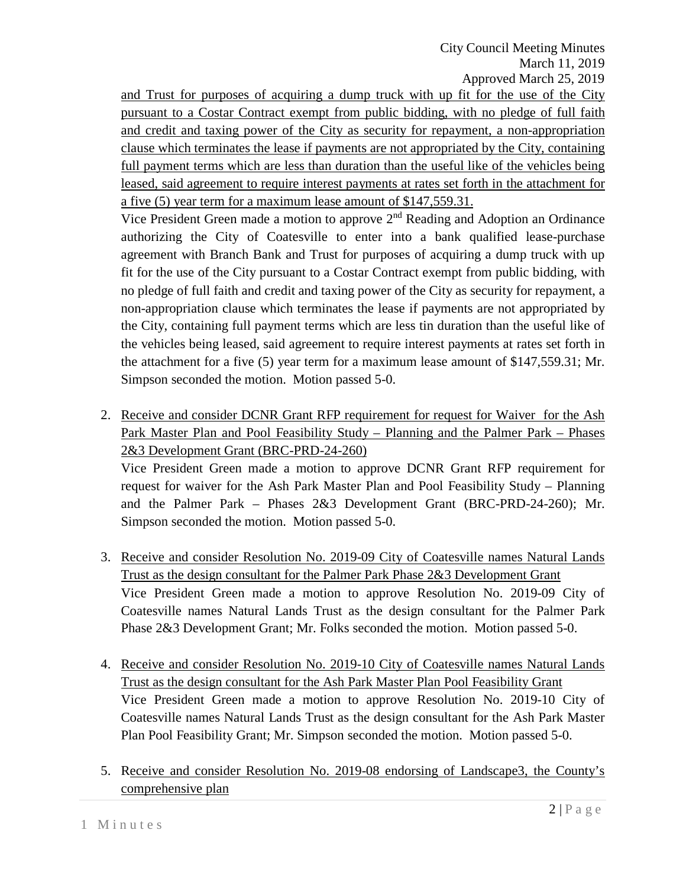City Council Meeting Minutes March 11, 2019 Approved March 25, 2019

and Trust for purposes of acquiring a dump truck with up fit for the use of the City pursuant to a Costar Contract exempt from public bidding, with no pledge of full faith and credit and taxing power of the City as security for repayment, a non-appropriation clause which terminates the lease if payments are not appropriated by the City, containing full payment terms which are less than duration than the useful like of the vehicles being leased, said agreement to require interest payments at rates set forth in the attachment for a five (5) year term for a maximum lease amount of \$147,559.31.

Vice President Green made a motion to approve  $2<sup>nd</sup>$  Reading and Adoption an Ordinance authorizing the City of Coatesville to enter into a bank qualified lease-purchase agreement with Branch Bank and Trust for purposes of acquiring a dump truck with up fit for the use of the City pursuant to a Costar Contract exempt from public bidding, with no pledge of full faith and credit and taxing power of the City as security for repayment, a non-appropriation clause which terminates the lease if payments are not appropriated by the City, containing full payment terms which are less tin duration than the useful like of the vehicles being leased, said agreement to require interest payments at rates set forth in the attachment for a five (5) year term for a maximum lease amount of \$147,559.31; Mr. Simpson seconded the motion. Motion passed 5-0.

- 2. Receive and consider DCNR Grant RFP requirement for request for Waiver for the Ash Park Master Plan and Pool Feasibility Study – Planning and the Palmer Park – Phases 2&3 Development Grant (BRC-PRD-24-260) Vice President Green made a motion to approve DCNR Grant RFP requirement for request for waiver for the Ash Park Master Plan and Pool Feasibility Study – Planning and the Palmer Park – Phases 2&3 Development Grant (BRC-PRD-24-260); Mr.
- 3. Receive and consider Resolution No. 2019-09 City of Coatesville names Natural Lands Trust as the design consultant for the Palmer Park Phase 2&3 Development Grant Vice President Green made a motion to approve Resolution No. 2019-09 City of Coatesville names Natural Lands Trust as the design consultant for the Palmer Park Phase 2&3 Development Grant; Mr. Folks seconded the motion. Motion passed 5-0.

Simpson seconded the motion. Motion passed 5-0.

- 4. Receive and consider Resolution No. 2019-10 City of Coatesville names Natural Lands Trust as the design consultant for the Ash Park Master Plan Pool Feasibility Grant Vice President Green made a motion to approve Resolution No. 2019-10 City of Coatesville names Natural Lands Trust as the design consultant for the Ash Park Master Plan Pool Feasibility Grant; Mr. Simpson seconded the motion. Motion passed 5-0.
- 5. Receive and consider Resolution No. 2019-08 endorsing of Landscape3, the County's comprehensive plan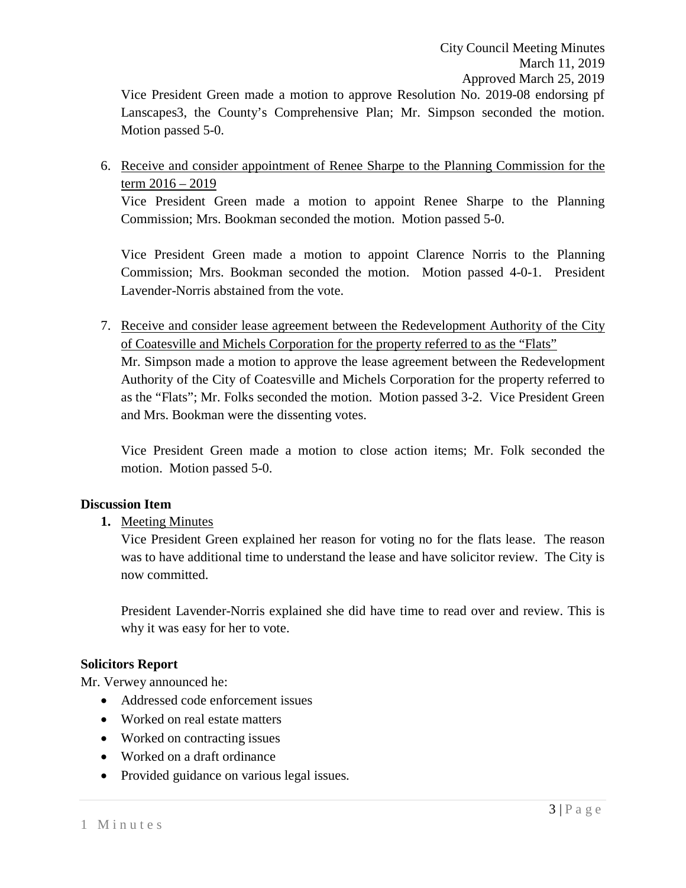Vice President Green made a motion to approve Resolution No. 2019-08 endorsing pf Lanscapes3, the County's Comprehensive Plan; Mr. Simpson seconded the motion. Motion passed 5-0.

6. Receive and consider appointment of Renee Sharpe to the Planning Commission for the term 2016 – 2019

Vice President Green made a motion to appoint Renee Sharpe to the Planning Commission; Mrs. Bookman seconded the motion. Motion passed 5-0.

Vice President Green made a motion to appoint Clarence Norris to the Planning Commission; Mrs. Bookman seconded the motion. Motion passed 4-0-1. President Lavender-Norris abstained from the vote.

7. Receive and consider lease agreement between the Redevelopment Authority of the City of Coatesville and Michels Corporation for the property referred to as the "Flats" Mr. Simpson made a motion to approve the lease agreement between the Redevelopment Authority of the City of Coatesville and Michels Corporation for the property referred to as the "Flats"; Mr. Folks seconded the motion. Motion passed 3-2. Vice President Green and Mrs. Bookman were the dissenting votes.

Vice President Green made a motion to close action items; Mr. Folk seconded the motion. Motion passed 5-0.

### **Discussion Item**

**1.** Meeting Minutes

Vice President Green explained her reason for voting no for the flats lease. The reason was to have additional time to understand the lease and have solicitor review. The City is now committed.

President Lavender-Norris explained she did have time to read over and review. This is why it was easy for her to vote.

### **Solicitors Report**

Mr. Verwey announced he:

- Addressed code enforcement issues
- Worked on real estate matters
- Worked on contracting issues
- Worked on a draft ordinance
- Provided guidance on various legal issues.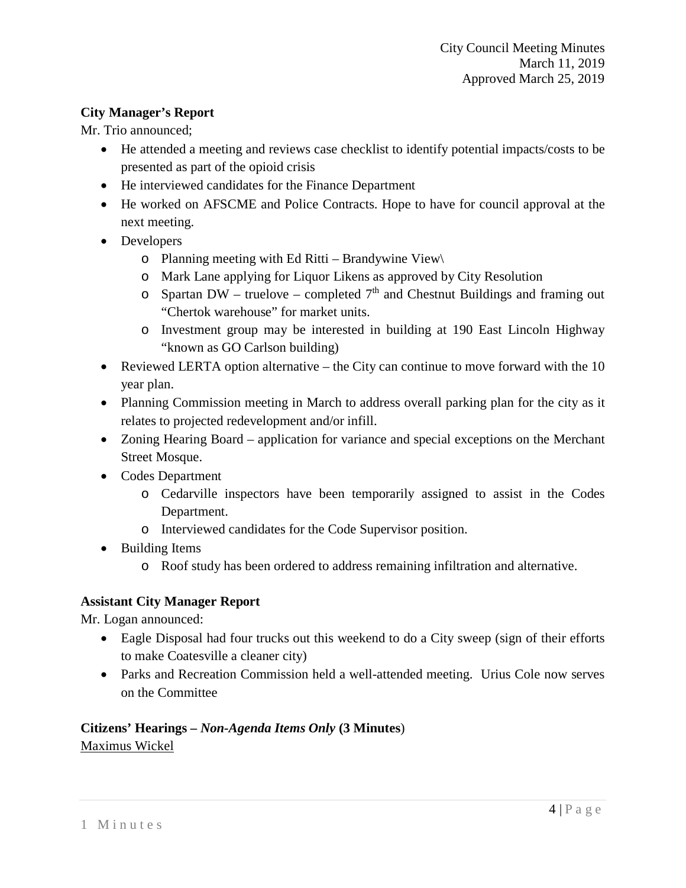## **City Manager's Report**

Mr. Trio announced;

- He attended a meeting and reviews case checklist to identify potential impacts/costs to be presented as part of the opioid crisis
- He interviewed candidates for the Finance Department
- He worked on AFSCME and Police Contracts. Hope to have for council approval at the next meeting.
- Developers
	- o Planning meeting with Ed Ritti Brandywine View\
	- o Mark Lane applying for Liquor Likens as approved by City Resolution
	- $\circ$  Spartan DW truelove completed  $7<sup>th</sup>$  and Chestnut Buildings and framing out "Chertok warehouse" for market units.
	- o Investment group may be interested in building at 190 East Lincoln Highway "known as GO Carlson building)
- Reviewed LERTA option alternative the City can continue to move forward with the 10 year plan.
- Planning Commission meeting in March to address overall parking plan for the city as it relates to projected redevelopment and/or infill.
- Zoning Hearing Board application for variance and special exceptions on the Merchant Street Mosque.
- Codes Department
	- o Cedarville inspectors have been temporarily assigned to assist in the Codes Department.
	- o Interviewed candidates for the Code Supervisor position.
- Building Items
	- o Roof study has been ordered to address remaining infiltration and alternative.

# **Assistant City Manager Report**

Mr. Logan announced:

- Eagle Disposal had four trucks out this weekend to do a City sweep (sign of their efforts to make Coatesville a cleaner city)
- Parks and Recreation Commission held a well-attended meeting. Urius Cole now serves on the Committee

## **Citizens' Hearings –** *Non-Agenda Items Only* **(3 Minutes**) Maximus Wickel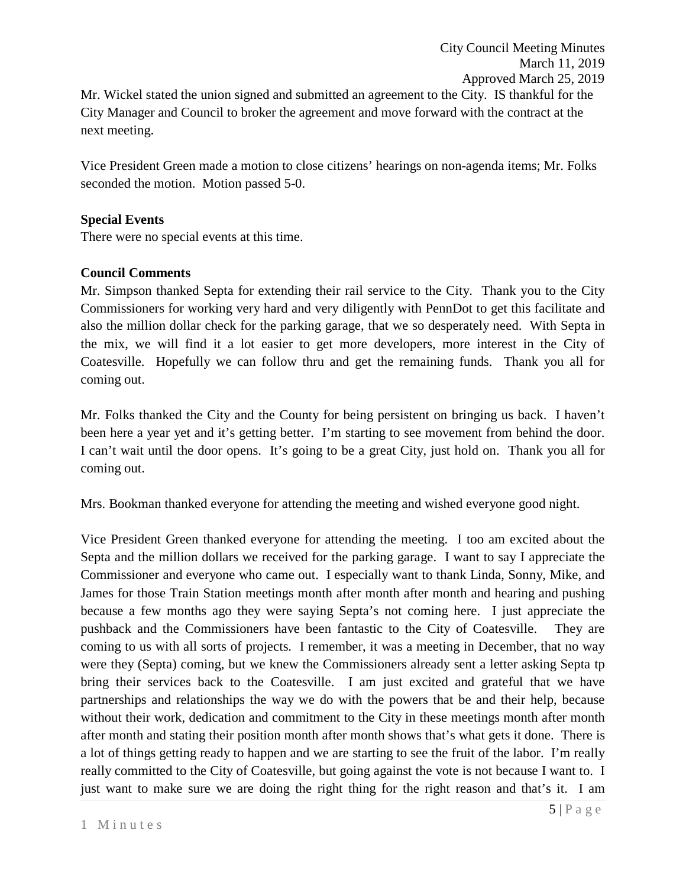City Council Meeting Minutes March 11, 2019 Approved March 25, 2019 Mr. Wickel stated the union signed and submitted an agreement to the City. IS thankful for the City Manager and Council to broker the agreement and move forward with the contract at the next meeting.

Vice President Green made a motion to close citizens' hearings on non-agenda items; Mr. Folks seconded the motion. Motion passed 5-0.

## **Special Events**

There were no special events at this time.

## **Council Comments**

Mr. Simpson thanked Septa for extending their rail service to the City. Thank you to the City Commissioners for working very hard and very diligently with PennDot to get this facilitate and also the million dollar check for the parking garage, that we so desperately need. With Septa in the mix, we will find it a lot easier to get more developers, more interest in the City of Coatesville. Hopefully we can follow thru and get the remaining funds. Thank you all for coming out.

Mr. Folks thanked the City and the County for being persistent on bringing us back. I haven't been here a year yet and it's getting better. I'm starting to see movement from behind the door. I can't wait until the door opens. It's going to be a great City, just hold on. Thank you all for coming out.

Mrs. Bookman thanked everyone for attending the meeting and wished everyone good night.

Vice President Green thanked everyone for attending the meeting. I too am excited about the Septa and the million dollars we received for the parking garage. I want to say I appreciate the Commissioner and everyone who came out. I especially want to thank Linda, Sonny, Mike, and James for those Train Station meetings month after month after month and hearing and pushing because a few months ago they were saying Septa's not coming here. I just appreciate the pushback and the Commissioners have been fantastic to the City of Coatesville. They are coming to us with all sorts of projects. I remember, it was a meeting in December, that no way were they (Septa) coming, but we knew the Commissioners already sent a letter asking Septa tp bring their services back to the Coatesville. I am just excited and grateful that we have partnerships and relationships the way we do with the powers that be and their help, because without their work, dedication and commitment to the City in these meetings month after month after month and stating their position month after month shows that's what gets it done. There is a lot of things getting ready to happen and we are starting to see the fruit of the labor. I'm really really committed to the City of Coatesville, but going against the vote is not because I want to. I just want to make sure we are doing the right thing for the right reason and that's it. I am